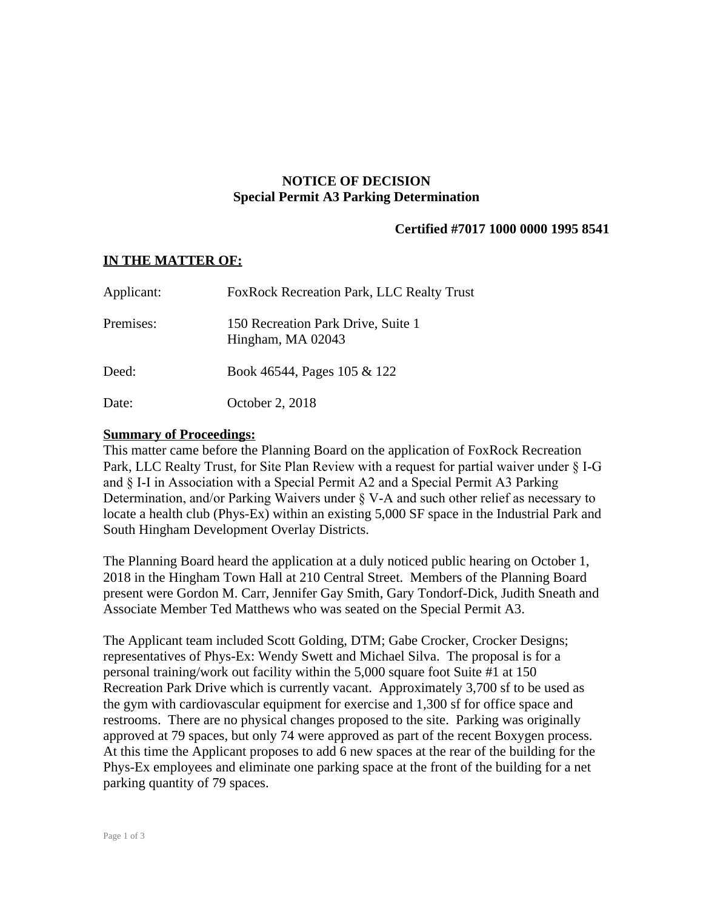# **NOTICE OF DECISION Special Permit A3 Parking Determination**

# **Certified #7017 1000 0000 1995 8541**

## **IN THE MATTER OF:**

| Applicant: | <b>FoxRock Recreation Park, LLC Realty Trust</b>        |
|------------|---------------------------------------------------------|
| Premises:  | 150 Recreation Park Drive, Suite 1<br>Hingham, MA 02043 |
| Deed:      | Book 46544, Pages 105 & 122                             |
| Date:      | October 2, 2018                                         |

### **Summary of Proceedings:**

This matter came before the Planning Board on the application of FoxRock Recreation Park, LLC Realty Trust, for Site Plan Review with a request for partial waiver under § I-G and § I-I in Association with a Special Permit A2 and a Special Permit A3 Parking Determination, and/or Parking Waivers under § V-A and such other relief as necessary to locate a health club (Phys-Ex) within an existing 5,000 SF space in the Industrial Park and South Hingham Development Overlay Districts.

The Planning Board heard the application at a duly noticed public hearing on October 1, 2018 in the Hingham Town Hall at 210 Central Street. Members of the Planning Board present were Gordon M. Carr, Jennifer Gay Smith, Gary Tondorf-Dick, Judith Sneath and Associate Member Ted Matthews who was seated on the Special Permit A3.

The Applicant team included Scott Golding, DTM; Gabe Crocker, Crocker Designs; representatives of Phys-Ex: Wendy Swett and Michael Silva. The proposal is for a personal training/work out facility within the 5,000 square foot Suite #1 at 150 Recreation Park Drive which is currently vacant. Approximately 3,700 sf to be used as the gym with cardiovascular equipment for exercise and 1,300 sf for office space and restrooms. There are no physical changes proposed to the site. Parking was originally approved at 79 spaces, but only 74 were approved as part of the recent Boxygen process. At this time the Applicant proposes to add 6 new spaces at the rear of the building for the Phys-Ex employees and eliminate one parking space at the front of the building for a net parking quantity of 79 spaces.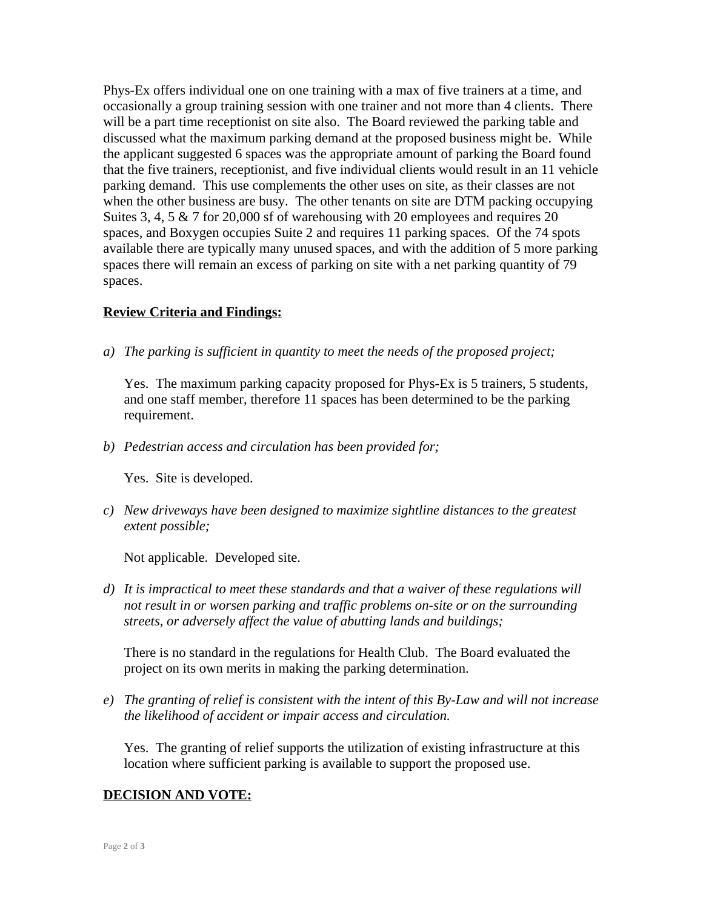Phys-Ex offers individual one on one training with a max of five trainers at a time, and occasionally a group training session with one trainer and not more than 4 clients. There will be a part time receptionist on site also. The Board reviewed the parking table and discussed what the maximum parking demand at the proposed business might be. While the applicant suggested 6 spaces was the appropriate amount of parking the Board found that the five trainers, receptionist, and five individual clients would result in an 11 vehicle parking demand. This use complements the other uses on site, as their classes are not when the other business are busy. The other tenants on site are DTM packing occupying Suites 3, 4, 5  $\&$  7 for 20,000 sf of warehousing with 20 employees and requires 20 spaces, and Boxygen occupies Suite 2 and requires 11 parking spaces. Of the 74 spots available there are typically many unused spaces, and with the addition of 5 more parking spaces there will remain an excess of parking on site with a net parking quantity of 79 spaces.

# **Review Criteria and Findings:**

*a) The parking is sufficient in quantity to meet the needs of the proposed project;*

Yes. The maximum parking capacity proposed for Phys-Ex is 5 trainers, 5 students, and one staff member, therefore 11 spaces has been determined to be the parking requirement.

*b) Pedestrian access and circulation has been provided for;*

Yes. Site is developed.

*c) New driveways have been designed to maximize sightline distances to the greatest extent possible;*

Not applicable. Developed site.

*d) It is impractical to meet these standards and that a waiver of these regulations will not result in or worsen parking and traffic problems on-site or on the surrounding streets, or adversely affect the value of abutting lands and buildings;*

There is no standard in the regulations for Health Club. The Board evaluated the project on its own merits in making the parking determination.

*e) The granting of relief is consistent with the intent of this By-Law and will not increase the likelihood of accident or impair access and circulation.*

Yes. The granting of relief supports the utilization of existing infrastructure at this location where sufficient parking is available to support the proposed use.

# **DECISION AND VOTE:**